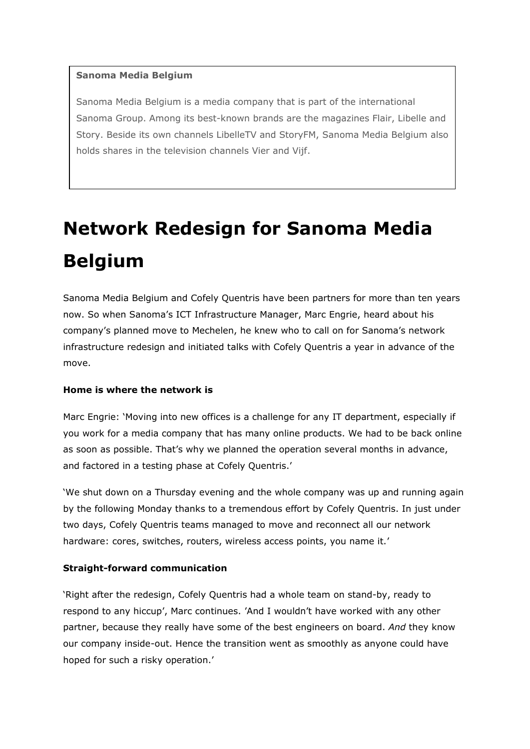## **Sanoma Media Belgium**

Sanoma Media Belgium is a media company that is part of the international Sanoma Group. Among its best-known brands are the magazines Flair, Libelle and Story. Beside its own channels LibelleTV and StoryFM, Sanoma Media Belgium also holds shares in the television channels Vier and Vijf.

# **Network Redesign for Sanoma Media Belgium**

Sanoma Media Belgium and Cofely Quentris have been partners for more than ten years now. So when Sanoma's ICT Infrastructure Manager, Marc Engrie, heard about his company's planned move to Mechelen, he knew who to call on for Sanoma's network infrastructure redesign and initiated talks with Cofely Quentris a year in advance of the move.

## **Home is where the network is**

Marc Engrie: 'Moving into new offices is a challenge for any IT department, especially if you work for a media company that has many online products. We had to be back online as soon as possible. That's why we planned the operation several months in advance, and factored in a testing phase at Cofely Quentris.'

'We shut down on a Thursday evening and the whole company was up and running again by the following Monday thanks to a tremendous effort by Cofely Quentris. In just under two days, Cofely Quentris teams managed to move and reconnect all our network hardware: cores, switches, routers, wireless access points, you name it.'

#### **Straight-forward communication**

'Right after the redesign, Cofely Quentris had a whole team on stand-by, ready to respond to any hiccup', Marc continues. 'And I wouldn't have worked with any other partner, because they really have some of the best engineers on board. *And* they know our company inside-out. Hence the transition went as smoothly as anyone could have hoped for such a risky operation.'